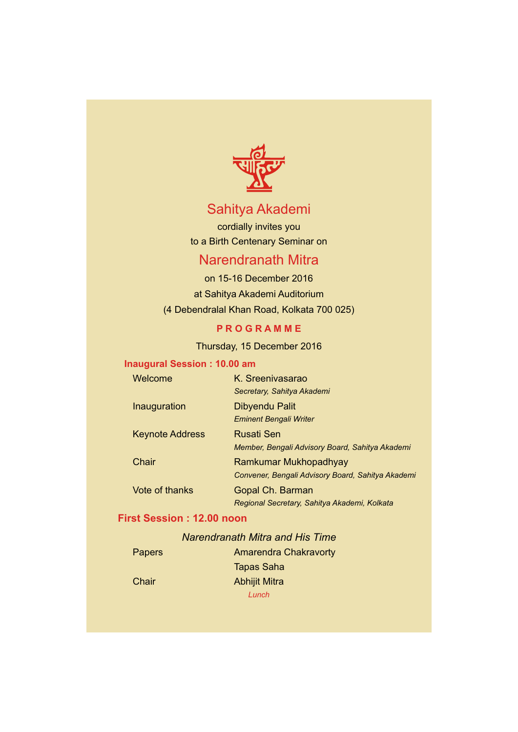

# Sahitya Akademi

cordially invites you to a Birth Centenary Seminar on

## Narendranath Mitra

on 15-16 December 2016 at Sahitya Akademi Auditorium (4 Debendralal Khan Road, Kolkata 700 025)

### **P R O G R A M M E**

Thursday, 15 December 2016

### **Inaugural Session : 10.00 am**

| Welcome                | K. Sreenivasarao                                  |
|------------------------|---------------------------------------------------|
|                        | Secretary, Sahitya Akademi                        |
| Inauguration           | Dibyendu Palit                                    |
|                        | <b>Eminent Bengali Writer</b>                     |
| <b>Keynote Address</b> | Rusati Sen                                        |
|                        | Member, Bengali Advisory Board, Sahitya Akademi   |
| Chair                  | Ramkumar Mukhopadhyay                             |
|                        | Convener, Bengali Advisory Board, Sahitya Akademi |
| Vote of thanks         | Gopal Ch. Barman                                  |
|                        | Regional Secretary, Sahitya Akademi, Kolkata      |

## **First Session : 12.00 noon**

## *Narendranath Mitra and His Time*

| Papers | <b>Amarendra Chakravorty</b> |
|--------|------------------------------|
|        | <b>Tapas Saha</b>            |
| Chair  | <b>Abhijit Mitra</b>         |
|        | Lunch                        |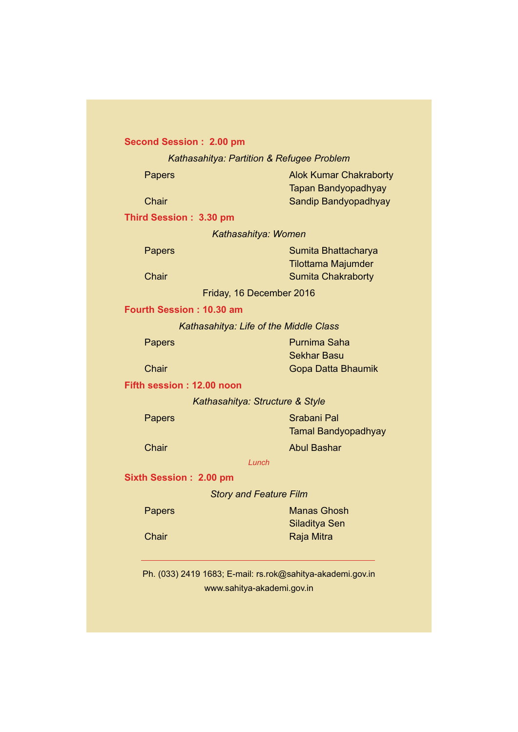### **Second Session : 2.00 pm**

*Kathasahitya: Partition & Refugee Problem*

| Papers |  |
|--------|--|
|--------|--|

Papers **Alok Kumar Chakraborty** Tapan Bandyopadhyay Chair Sandip Bandyopadhyay

**Third Session : 3.30 pm**

*Kathasahitya: Women*

Papers **Sumita Bhattacharya** Tilottama Majumder Chair **Sumita Chakraborty** 

Friday, 16 December 2016

#### **Fourth Session : 10.30 am**

*Kathasahitya: Life of the Middle Class*

Papers **Papers** Purnima Saha Sekhar Basu Chair Gopa Datta Bhaumik

#### **Fifth session : 12.00 noon**

*Kathasahitya: Structure & Style*

Papers Srabani Pal Tamal Bandyopadhyay **Chair Chair Chair Abul Bashar** 

#### *Lunch*

**Sixth Session : 2.00 pm**

#### *Story and Feature Film*

| Papers | <b>Manas Ghosh</b> |
|--------|--------------------|
|        | Siladitya Sen      |
| Chair  | Raja Mitra         |

Ph. (033) 2419 1683; E-mail: rs.rok@sahitya-akademi.gov.in www.sahitya-akademi.gov.in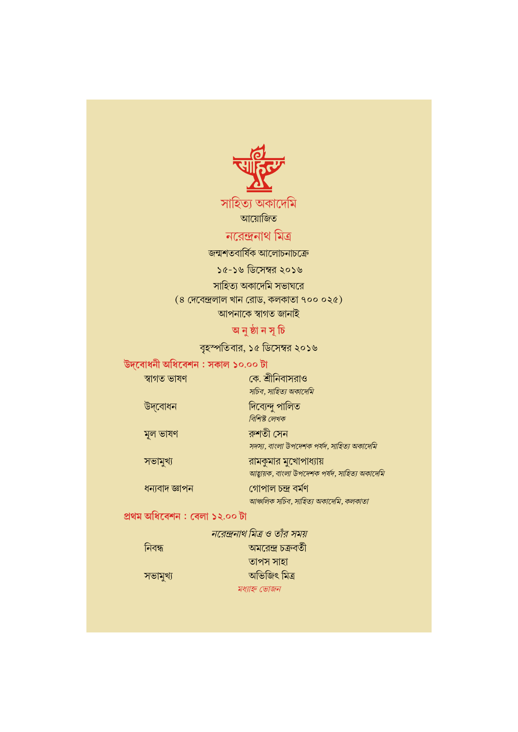

সাহিত্য অকাদেমি আয়োজিত

## নরেন্দ্রনাথ মিত্র

জন্মশতবাৰ্ষিক আলোচনাচক্ৰে ১৫-১৬ ডিসেম্বর ২০১৬ সাহিত্য অকাদেমি সভাঘরে  $(8 \text{ (}73 \text{)} \text{ (}78 \text{)} \text{ (}79 \text{)} \text{ (}79 \text{)} \text{ (}79 \text{ (}79 \text{)} \text{ (}79 \text{ (}79 \text{)} \text{ (}79 \text{ (}79 \text{)} \text{ (}79 \text{ (}79 \text{)} \text{ (}79 \text{ (}79 \text{ (}79 \text{)} \text{ (}79 \text{ (}79 \text{ (}79 \text{)} \text{ (}79 \text{ (}79 \text{ (}79 \text{)) \text{ (}79 \text{ (}79 \text{ (}79 \text{ (}$ 

আপনাকে স্বাগত জানাই

## অ নুষ্ঠা ন সূ চি

বৃহস্পতিবার, ১৫ ডিসেম্বর ২০১৬

## উদ্বোধনী অধিবেশন : সকাল ১০.০০ টা

| স্বাগত ভাষণ | কে. শ্রীনিবাসরাও                           |
|-------------|--------------------------------------------|
|             | সচিব, সাহিত্য অকাদেমি                      |
| উদ্বোধন     | দিব্যেন্দু পালিত                           |
|             | বিশিষ্ট লেখক                               |
| মূল ভাষণ    | রুশতী সেন                                  |
|             | সদস্য, বাংলা উপদেশক পর্যদ, সাহিত্য অকাদেমি |
|             |                                            |

সভামুখ্য রামকুমার মুখোপাধ্যায় আহ্বায়ক, বাংলা উপদেশক পর্যদ, সাহিত্য অকাদেমি ধন্যবাদ জ্ঞাপন গোপাল চন্দ্ৰ বৰ্মণ আঞ্চলিক সচিব, সাহিত্য অকাদেমি, কলকাতা

## প্ৰথম অধিবেশন : বেলা ১২.০০ টা

|          | নরেন্দ্রনাথ মিত্র ও তাঁর সময় |
|----------|-------------------------------|
| নিবন্ধ   | অমরেন্দ্র চক্রবর্তী           |
|          | তাপস সাহা                     |
| সভামুখ্য | অভিজিৎ মিত্ৰ                  |
|          | মধ্যাহ্ন ভোজন                 |